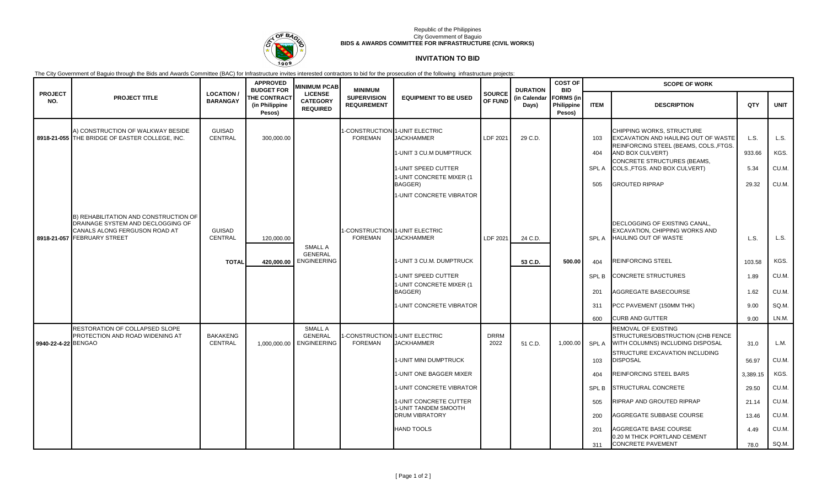

### Republic of the Philippines City Government of Baguio **BIDS & AWARDS COMMITTEE FOR INFRASTRUCTURE (CIVIL WORKS)**

# **INVITATION TO BID**

The City Government of Baguio through the Bids and Awards Committee (BAC) for Infrastructure invites interested contractors to bid for the prosecution of the following infrastructure projects:

|                       |                                                                                                                                                   |                                     | <b>APPROVED</b><br><b>BUDGET FOR</b>            | <b>MINIMUM PCAB</b>                                          | <b>MINIMUM</b>                           |                                                     |                          | <b>DURATION</b><br>(in Calendar<br>Days) | <b>COST OF</b><br><b>BID</b>             | <b>SCOPE OF WORK</b> |                                                                                                            |              |                |  |
|-----------------------|---------------------------------------------------------------------------------------------------------------------------------------------------|-------------------------------------|-------------------------------------------------|--------------------------------------------------------------|------------------------------------------|-----------------------------------------------------|--------------------------|------------------------------------------|------------------------------------------|----------------------|------------------------------------------------------------------------------------------------------------|--------------|----------------|--|
| <b>PROJECT</b><br>NO. | <b>PROJECT TITLE</b>                                                                                                                              | <b>LOCATION/</b><br><b>BARANGAY</b> | <b>THE CONTRACT</b><br>(in Philippine<br>Pesos) | <b>LICENSE</b><br><b>CATEGORY</b><br><b>REQUIRED</b>         | <b>SUPERVISION</b><br><b>REQUIREMENT</b> | <b>EQUIPMENT TO BE USED</b>                         | <b>SOURCE</b><br>OF FUND |                                          | <b>FORMS</b> (in<br>Philippine<br>Pesos) | <b>ITEM</b>          | <b>DESCRIPTION</b>                                                                                         | QTY          | <b>UNIT</b>    |  |
|                       | A) CONSTRUCTION OF WALKWAY BESIDE<br>8918-21-055 THE BRIDGE OF EASTER COLLEGE, INC.                                                               | <b>GUISAD</b><br><b>CENTRAL</b>     | 300,000.00                                      |                                                              | <b>FOREMAN</b>                           | I-CONSTRUCTION 1-UNIT ELECTRIC<br><b>JACKHAMMER</b> | LDF 2021                 | 29 C.D.                                  |                                          | 103                  | CHIPPING WORKS, STRUCTURE<br>EXCAVATION AND HAULING OUT OF WASTE<br>REINFORCING STEEL (BEAMS, COLS., FTGS. | L.S.         | L.S.           |  |
|                       |                                                                                                                                                   |                                     |                                                 |                                                              |                                          | 1-UNIT 3 CU.M DUMPTRUCK                             |                          |                                          |                                          | 404                  | AND BOX CULVERT)                                                                                           | 933.66       | KGS.           |  |
|                       |                                                                                                                                                   |                                     |                                                 |                                                              |                                          | 1-UNIT SPEED CUTTER<br>1-UNIT CONCRETE MIXER (1     |                          |                                          |                                          | <b>SPLA</b>          | CONCRETE STRUCTURES (BEAMS,<br>COLS., FTGS. AND BOX CULVERT)                                               | 5.34         | CU.M.          |  |
|                       |                                                                                                                                                   |                                     |                                                 |                                                              |                                          | BAGGER)                                             |                          |                                          |                                          | 505                  | <b>GROUTED RIPRAP</b>                                                                                      | 29.32        | CU.M.          |  |
|                       |                                                                                                                                                   |                                     |                                                 |                                                              |                                          | 1-UNIT CONCRETE VIBRATOR                            |                          |                                          |                                          |                      |                                                                                                            |              |                |  |
|                       | <b>B) REHABILITATION AND CONSTRUCTION OF</b><br>DRAINAGE SYSTEM AND DECLOGGING OF<br>CANALS ALONG FERGUSON ROAD AT<br>8918-21-057 FEBRUARY STREET | <b>GUISAD</b><br>CENTRAL            | 120,000.00                                      | SMALL A<br><b>GENERAL</b>                                    | <b>FOREMAN</b>                           | -CONSTRUCTION 1-UNIT ELECTRIC<br><b>JACKHAMMER</b>  | LDF 2021                 | 24 C.D.                                  |                                          | <b>SPLA</b>          | DECLOGGING OF EXISTING CANAL.<br>EXCAVATION, CHIPPING WORKS AND<br>HAULING OUT OF WASTE                    | L.S.         | L.S.           |  |
|                       |                                                                                                                                                   | <b>TOTAL</b>                        | 420.000.00                                      | <b>ENGINEERING</b>                                           |                                          | 1-UNIT 3 CU.M. DUMPTRUCK                            |                          | 53 C.D.                                  | 500.00                                   | 404                  | <b>REINFORCING STEEL</b>                                                                                   | 103.58       | KGS.           |  |
|                       |                                                                                                                                                   |                                     |                                                 |                                                              |                                          | 1-UNIT SPEED CUTTER                                 |                          |                                          |                                          | SPL B                | <b>CONCRETE STRUCTURES</b>                                                                                 | 1.89         | CU.M.          |  |
|                       |                                                                                                                                                   |                                     |                                                 |                                                              |                                          | 1-UNIT CONCRETE MIXER (1<br>BAGGER)                 |                          |                                          |                                          | 201                  | AGGREGATE BASECOURSE                                                                                       | 1.62         | CU.M.          |  |
|                       |                                                                                                                                                   |                                     |                                                 |                                                              |                                          | 1-UNIT CONCRETE VIBRATOR                            |                          |                                          |                                          | 311                  | PCC PAVEMENT (150MM THK)                                                                                   | 9.00         | SQ M.          |  |
|                       |                                                                                                                                                   |                                     |                                                 |                                                              |                                          |                                                     |                          |                                          |                                          | 600                  | <b>CURB AND GUTTER</b>                                                                                     | 9.00         | LN.M.          |  |
| 9940-22-4-22 BENGAO   | RESTORATION OF COLLAPSED SLOPE<br>PROTECTION AND ROAD WIDENING AT                                                                                 | <b>BAKAKENG</b><br>CENTRAL          |                                                 | <b>SMALL A</b><br><b>GENERAL</b><br>1,000,000.00 ENGINEERING | <b>FOREMAN</b>                           | -CONSTRUCTION 1-UNIT ELECTRIC<br><b>JACKHAMMER</b>  | <b>DRRM</b><br>2022      | 51 C.D.                                  | 1,000.00                                 | SPL A                | REMOVAL OF EXISTING<br>STRUCTURES/OBSTRUCTION (CHB FENCE<br>WITH COLUMNS) INCLUDING DISPOSAL               | 31.0         | L.M.           |  |
|                       |                                                                                                                                                   |                                     |                                                 |                                                              |                                          | 1-UNIT MINI DUMPTRUCK                               |                          |                                          |                                          | 103                  | STRUCTURE EXCAVATION INCLUDING<br><b>DISPOSAL</b>                                                          | 56.97        | CU.M.          |  |
|                       |                                                                                                                                                   |                                     |                                                 |                                                              |                                          | 1-UNIT ONE BAGGER MIXER                             |                          |                                          |                                          | 404                  | <b>REINFORCING STEEL BARS</b>                                                                              | 3,389.15     | KGS.           |  |
|                       |                                                                                                                                                   |                                     |                                                 |                                                              |                                          | 1-UNIT CONCRETE VIBRATOR                            |                          |                                          |                                          | SPL B                | <b>STRUCTURAL CONCRETE</b>                                                                                 | 29.50        | CU.M.          |  |
|                       |                                                                                                                                                   |                                     |                                                 |                                                              |                                          | 1-UNIT CONCRETE CUTTER<br>1-UNIT TANDEM SMOOTH      |                          |                                          |                                          | 505                  | RIPRAP AND GROUTED RIPRAP                                                                                  | 21.14        | CU.M.          |  |
|                       |                                                                                                                                                   |                                     |                                                 |                                                              |                                          | DRUM VIBRATORY                                      |                          |                                          |                                          | 200                  | AGGREGATE SUBBASE COURSE                                                                                   | 13.46        | CU.M.          |  |
|                       |                                                                                                                                                   |                                     |                                                 |                                                              |                                          | <b>HAND TOOLS</b>                                   |                          |                                          |                                          | 201<br>311           | AGGREGATE BASE COURSE<br>0.20 M THICK PORTLAND CEMENT<br><b>CONCRETE PAVEMENT</b>                          | 4.49<br>78.0 | CU.M.<br>SQ M. |  |